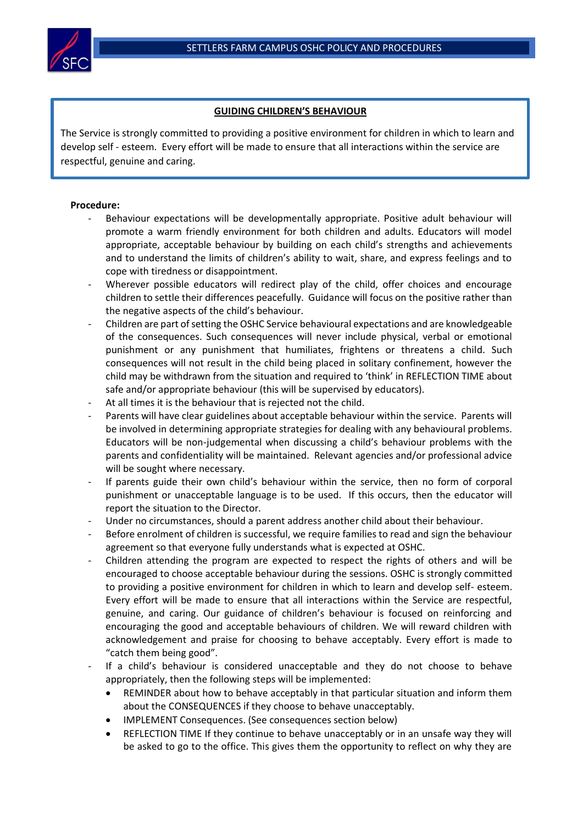

## **GUIDING CHILDREN'S BEHAVIOUR**

The Service is strongly committed to providing a positive environment for children in which to learn and develop self - esteem. Every effort will be made to ensure that all interactions within the service are respectful, genuine and caring.

## **Procedure:**

- Behaviour expectations will be developmentally appropriate. Positive adult behaviour will promote a warm friendly environment for both children and adults. Educators will model appropriate, acceptable behaviour by building on each child's strengths and achievements and to understand the limits of children's ability to wait, share, and express feelings and to cope with tiredness or disappointment.
- Wherever possible educators will redirect play of the child, offer choices and encourage children to settle their differences peacefully. Guidance will focus on the positive rather than the negative aspects of the child's behaviour.
- Children are part of setting the OSHC Service behavioural expectations and are knowledgeable of the consequences. Such consequences will never include physical, verbal or emotional punishment or any punishment that humiliates, frightens or threatens a child. Such consequences will not result in the child being placed in solitary confinement, however the child may be withdrawn from the situation and required to 'think' in REFLECTION TIME about safe and/or appropriate behaviour (this will be supervised by educators).
- At all times it is the behaviour that is rejected not the child.
- Parents will have clear guidelines about acceptable behaviour within the service. Parents will be involved in determining appropriate strategies for dealing with any behavioural problems. Educators will be non-judgemental when discussing a child's behaviour problems with the parents and confidentiality will be maintained. Relevant agencies and/or professional advice will be sought where necessary.
- If parents guide their own child's behaviour within the service, then no form of corporal punishment or unacceptable language is to be used. If this occurs, then the educator will report the situation to the Director.
- Under no circumstances, should a parent address another child about their behaviour.
- Before enrolment of children is successful, we require families to read and sign the behaviour agreement so that everyone fully understands what is expected at OSHC.
- Children attending the program are expected to respect the rights of others and will be encouraged to choose acceptable behaviour during the sessions. OSHC is strongly committed to providing a positive environment for children in which to learn and develop self- esteem. Every effort will be made to ensure that all interactions within the Service are respectful, genuine, and caring. Our guidance of children's behaviour is focused on reinforcing and encouraging the good and acceptable behaviours of children. We will reward children with acknowledgement and praise for choosing to behave acceptably. Every effort is made to "catch them being good".
- If a child's behaviour is considered unacceptable and they do not choose to behave appropriately, then the following steps will be implemented:
	- REMINDER about how to behave acceptably in that particular situation and inform them about the CONSEQUENCES if they choose to behave unacceptably.
	- IMPLEMENT Consequences. (See consequences section below)
	- REFLECTION TIME If they continue to behave unacceptably or in an unsafe way they will be asked to go to the office. This gives them the opportunity to reflect on why they are